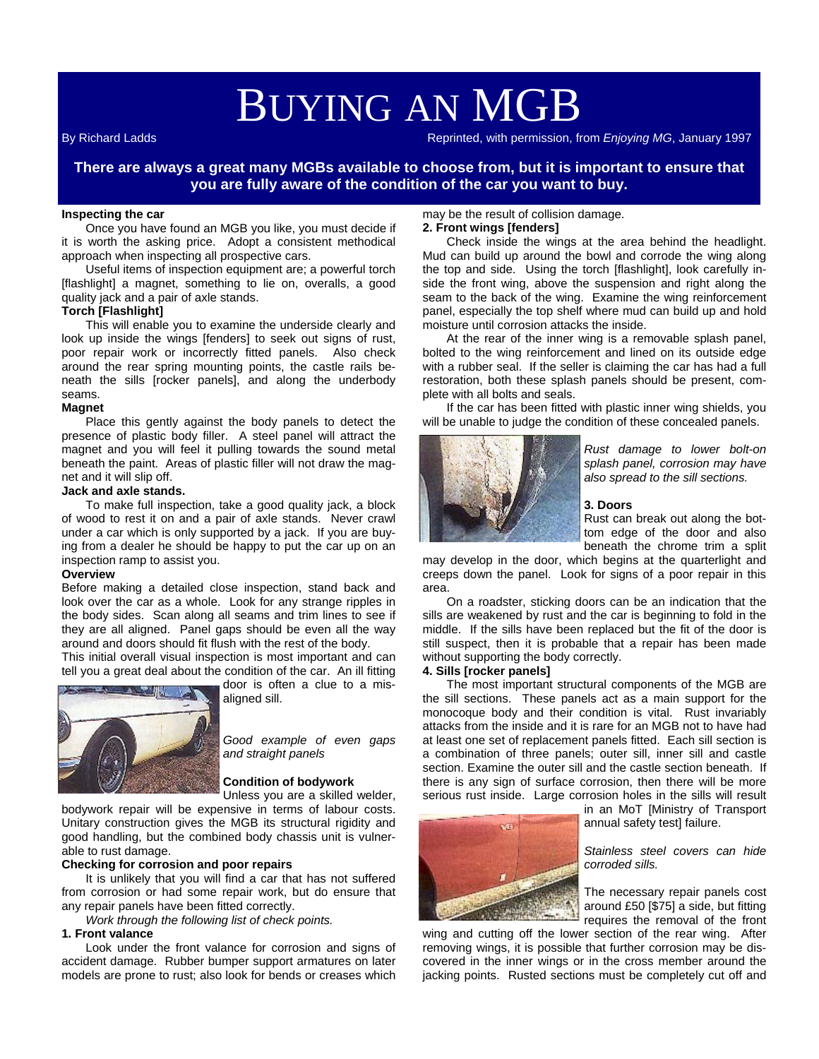# BUYING AN MGB

By Richard Ladds Reprinted, with permission, from *Enjoying MG*, January 1997

**There are always a great many MGBs available to choose from, but it is important to ensure that you are fully aware of the condition of the car you want to buy.** 

# **Inspecting the car**

Once you have found an MGB you like, you must decide if it is worth the asking price. Adopt a consistent methodical approach when inspecting all prospective cars.

Useful items of inspection equipment are; a powerful torch [flashlight] a magnet, something to lie on, overalls, a good quality jack and a pair of axle stands.

# **Torch [Flashlight]**

This will enable you to examine the underside clearly and look up inside the wings [fenders] to seek out signs of rust, poor repair work or incorrectly fitted panels. Also check around the rear spring mounting points, the castle rails beneath the sills [rocker panels], and along the underbody seams.

#### **Magnet**

Place this gently against the body panels to detect the presence of plastic body filler. A steel panel will attract the magnet and you will feel it pulling towards the sound metal beneath the paint. Areas of plastic filler will not draw the magnet and it will slip off.

#### **Jack and axle stands.**

To make full inspection, take a good quality jack, a block of wood to rest it on and a pair of axle stands. Never crawl under a car which is only supported by a jack. If you are buying from a dealer he should be happy to put the car up on an inspection ramp to assist you.

#### **Overview**

Before making a detailed close inspection, stand back and look over the car as a whole. Look for any strange ripples in the body sides. Scan along all seams and trim lines to see if they are all aligned. Panel gaps should be even all the way around and doors should fit flush with the rest of the body.

This initial overall visual inspection is most important and can tell you a great deal about the condition of the car. An ill fitting



door is often a clue to a misaligned sill.

*Good example of even gaps and straight panels* 

#### **Condition of bodywork**

Unless you are a skilled welder,

bodywork repair will be expensive in terms of labour costs. Unitary construction gives the MGB its structural rigidity and good handling, but the combined body chassis unit is vulnerable to rust damage.

#### **Checking for corrosion and poor repairs**

It is unlikely that you will find a car that has not suffered from corrosion or had some repair work, but do ensure that any repair panels have been fitted correctly.

*Work through the following list of check points.* 

#### **1. Front valance**

Look under the front valance for corrosion and signs of accident damage. Rubber bumper support armatures on later models are prone to rust; also look for bends or creases which

# may be the result of collision damage.

# **2. Front wings [fenders]**

Check inside the wings at the area behind the headlight. Mud can build up around the bowl and corrode the wing along the top and side. Using the torch [flashlight], look carefully inside the front wing, above the suspension and right along the seam to the back of the wing. Examine the wing reinforcement panel, especially the top shelf where mud can build up and hold moisture until corrosion attacks the inside.

At the rear of the inner wing is a removable splash panel, bolted to the wing reinforcement and lined on its outside edge with a rubber seal. If the seller is claiming the car has had a full restoration, both these splash panels should be present, complete with all bolts and seals.

If the car has been fitted with plastic inner wing shields, you will be unable to judge the condition of these concealed panels.



*Rust damage to lower bolt-on splash panel, corrosion may have also spread to the sill sections.* 

#### **3. Doors**

Rust can break out along the bottom edge of the door and also beneath the chrome trim a split

may develop in the door, which begins at the quarterlight and creeps down the panel. Look for signs of a poor repair in this area.

On a roadster, sticking doors can be an indication that the sills are weakened by rust and the car is beginning to fold in the middle. If the sills have been replaced but the fit of the door is still suspect, then it is probable that a repair has been made without supporting the body correctly.

#### **4. Sills [rocker panels]**

The most important structural components of the MGB are the sill sections. These panels act as a main support for the monocoque body and their condition is vital. Rust invariably attacks from the inside and it is rare for an MGB not to have had at least one set of replacement panels fitted. Each sill section is a combination of three panels; outer sill, inner sill and castle section. Examine the outer sill and the castle section beneath. If there is any sign of surface corrosion, then there will be more serious rust inside. Large corrosion holes in the sills will result



in an MoT [Ministry of Transport annual safety test] failure.

*Stainless steel covers can hide corroded sills.* 

The necessary repair panels cost around £50 [\$75] a side, but fitting requires the removal of the front

wing and cutting off the lower section of the rear wing. After removing wings, it is possible that further corrosion may be discovered in the inner wings or in the cross member around the jacking points. Rusted sections must be completely cut off and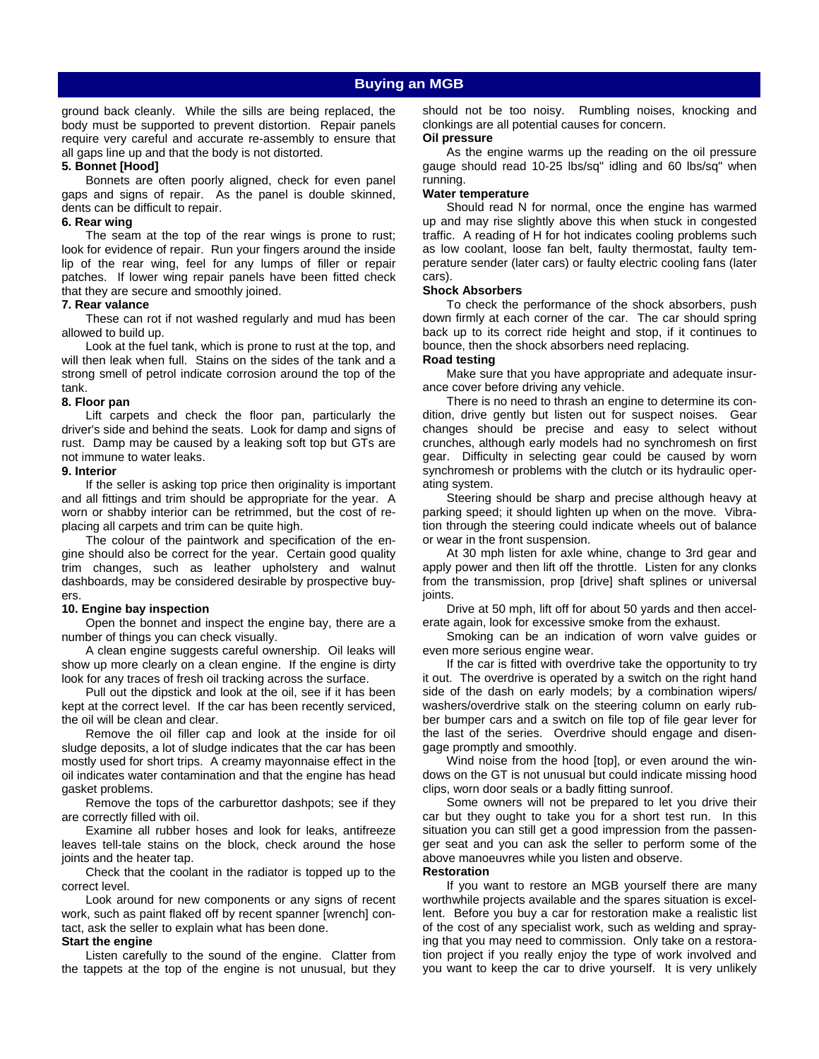ground back cleanly. While the sills are being replaced, the body must be supported to prevent distortion. Repair panels require very careful and accurate re-assembly to ensure that all gaps line up and that the body is not distorted.

#### **5. Bonnet [Hood]**

Bonnets are often poorly aligned, check for even panel gaps and signs of repair. As the panel is double skinned, dents can be difficult to repair.

#### **6. Rear wing**

The seam at the top of the rear wings is prone to rust; look for evidence of repair. Run your fingers around the inside lip of the rear wing, feel for any lumps of filler or repair patches. If lower wing repair panels have been fitted check that they are secure and smoothly joined.

#### **7. Rear valance**

These can rot if not washed regularly and mud has been allowed to build up.

Look at the fuel tank, which is prone to rust at the top, and will then leak when full. Stains on the sides of the tank and a strong smell of petrol indicate corrosion around the top of the tank.

#### **8. Floor pan**

Lift carpets and check the floor pan, particularly the driver's side and behind the seats. Look for damp and signs of rust. Damp may be caused by a leaking soft top but GTs are not immune to water leaks.

#### **9. Interior**

If the seller is asking top price then originality is important and all fittings and trim should be appropriate for the year. A worn or shabby interior can be retrimmed, but the cost of replacing all carpets and trim can be quite high.

The colour of the paintwork and specification of the engine should also be correct for the year. Certain good quality trim changes, such as leather upholstery and walnut dashboards, may be considered desirable by prospective buyers.

#### **10. Engine bay inspection**

Open the bonnet and inspect the engine bay, there are a number of things you can check visually.

A clean engine suggests careful ownership. Oil leaks will show up more clearly on a clean engine. If the engine is dirty look for any traces of fresh oil tracking across the surface.

Pull out the dipstick and look at the oil, see if it has been kept at the correct level. If the car has been recently serviced, the oil will be clean and clear.

Remove the oil filler cap and look at the inside for oil sludge deposits, a lot of sludge indicates that the car has been mostly used for short trips. A creamy mayonnaise effect in the oil indicates water contamination and that the engine has head gasket problems.

Remove the tops of the carburettor dashpots; see if they are correctly filled with oil.

Examine all rubber hoses and look for leaks, antifreeze leaves tell-tale stains on the block, check around the hose joints and the heater tap.

Check that the coolant in the radiator is topped up to the correct level.

Look around for new components or any signs of recent work, such as paint flaked off by recent spanner [wrench] contact, ask the seller to explain what has been done.

#### **Start the engine**

Listen carefully to the sound of the engine. Clatter from the tappets at the top of the engine is not unusual, but they should not be too noisy. Rumbling noises, knocking and clonkings are all potential causes for concern.

# **Oil pressure**

As the engine warms up the reading on the oil pressure gauge should read 10-25 lbs/sq" idling and 60 lbs/sq" when running.

#### **Water temperature**

Should read N for normal, once the engine has warmed up and may rise slightly above this when stuck in congested traffic. A reading of H for hot indicates cooling problems such as low coolant, loose fan belt, faulty thermostat, faulty temperature sender (later cars) or faulty electric cooling fans (later cars).

#### **Shock Absorbers**

To check the performance of the shock absorbers, push down firmly at each corner of the car. The car should spring back up to its correct ride height and stop, if it continues to bounce, then the shock absorbers need replacing.

#### **Road testing**

Make sure that you have appropriate and adequate insurance cover before driving any vehicle.

There is no need to thrash an engine to determine its condition, drive gently but listen out for suspect noises. Gear changes should be precise and easy to select without crunches, although early models had no synchromesh on first gear. Difficulty in selecting gear could be caused by worn synchromesh or problems with the clutch or its hydraulic operating system.

Steering should be sharp and precise although heavy at parking speed; it should lighten up when on the move. Vibration through the steering could indicate wheels out of balance or wear in the front suspension.

At 30 mph listen for axle whine, change to 3rd gear and apply power and then lift off the throttle. Listen for any clonks from the transmission, prop [drive] shaft splines or universal joints.

Drive at 50 mph, lift off for about 50 yards and then accelerate again, look for excessive smoke from the exhaust.

Smoking can be an indication of worn valve guides or even more serious engine wear.

If the car is fitted with overdrive take the opportunity to try it out. The overdrive is operated by a switch on the right hand side of the dash on early models; by a combination wipers/ washers/overdrive stalk on the steering column on early rubber bumper cars and a switch on file top of file gear lever for the last of the series. Overdrive should engage and disengage promptly and smoothly.

Wind noise from the hood [top], or even around the windows on the GT is not unusual but could indicate missing hood clips, worn door seals or a badly fitting sunroof.

Some owners will not be prepared to let you drive their car but they ought to take you for a short test run. In this situation you can still get a good impression from the passenger seat and you can ask the seller to perform some of the above manoeuvres while you listen and observe.

#### **Restoration**

If you want to restore an MGB yourself there are many worthwhile projects available and the spares situation is excellent. Before you buy a car for restoration make a realistic list of the cost of any specialist work, such as welding and spraying that you may need to commission. Only take on a restoration project if you really enjoy the type of work involved and you want to keep the car to drive yourself. It is very unlikely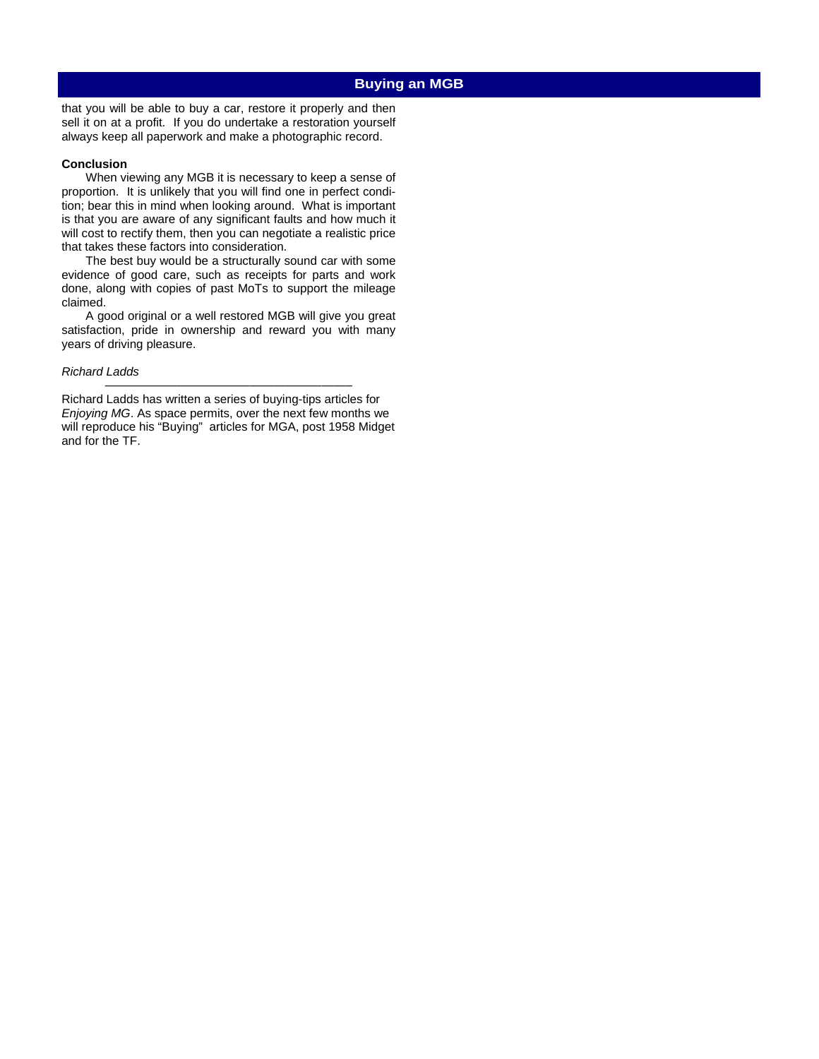# **Buying an MGB**

that you will be able to buy a car, restore it properly and then sell it on at a profit. If you do undertake a restoration yourself always keep all paperwork and make a photographic record.

#### **Conclusion**

When viewing any MGB it is necessary to keep a sense of proportion. It is unlikely that you will find one in perfect condition; bear this in mind when looking around. What is important is that you are aware of any significant faults and how much it will cost to rectify them, then you can negotiate a realistic price that takes these factors into consideration.

The best buy would be a structurally sound car with some evidence of good care, such as receipts for parts and work done, along with copies of past MoTs to support the mileage claimed.

A good original or a well restored MGB will give you great satisfaction, pride in ownership and reward you with many years of driving pleasure.

#### *Richard Ladds*

Richard Ladds has written a series of buying-tips articles for *Enjoying MG*. As space permits, over the next few months we will reproduce his "Buying" articles for MGA, post 1958 Midget and for the TF.

*————————————————————–*